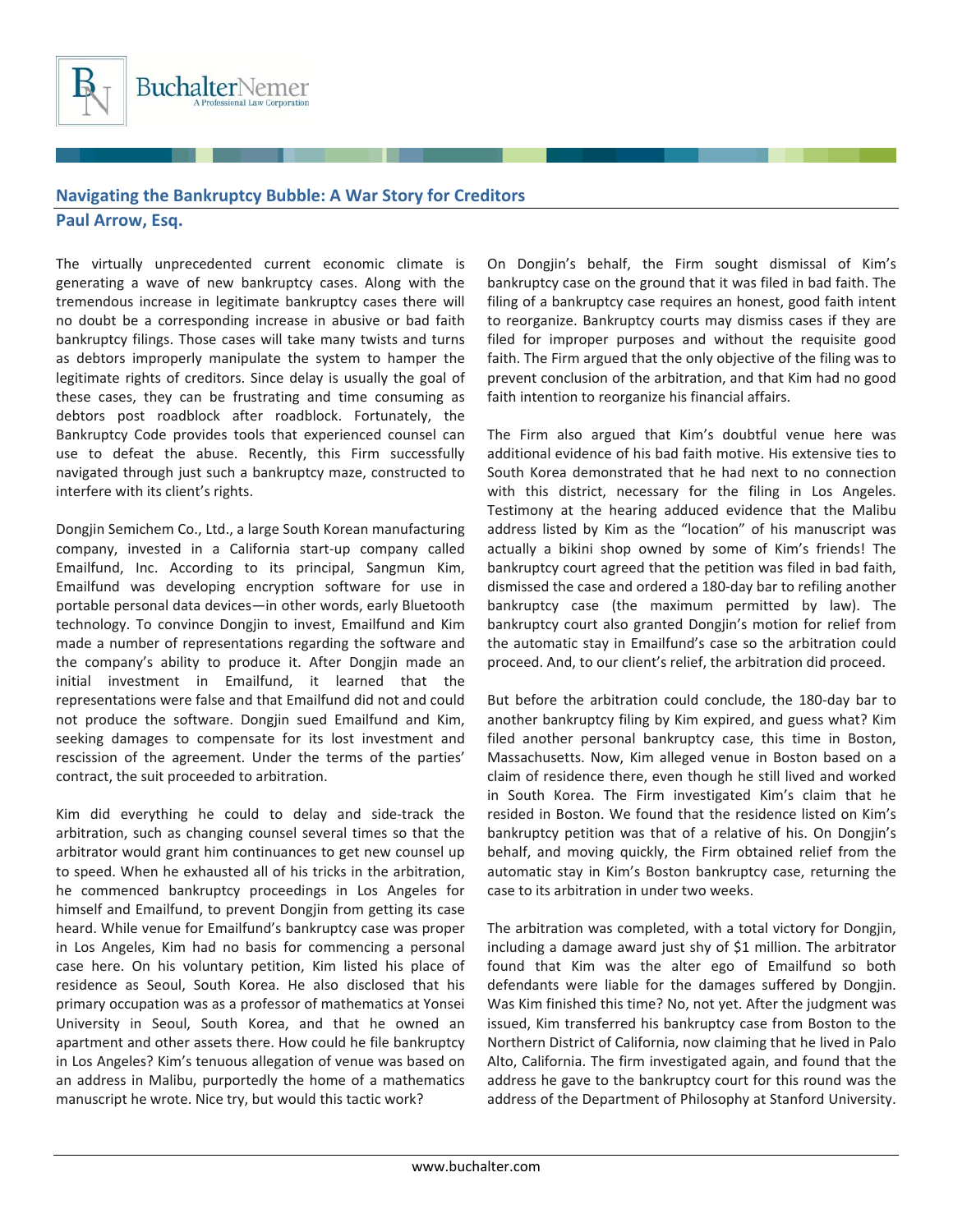

## **Navigating the Bankruptcy Bubble: A War Story for Creditors**

## **Paul Arrow, Esq.**

The virtually unprecedented current economic climate is generating a wave of new bankruptcy cases. Along with the tremendous increase in legitimate bankruptcy cases there will no doubt be a corresponding increase in abusive or bad faith bankruptcy filings. Those cases will take many twists and turns as debtors improperly manipulate the system to hamper the legitimate rights of creditors. Since delay is usually the goal of these cases, they can be frustrating and time consuming as debtors post roadblock after roadblock. Fortunately, the Bankruptcy Code provides tools that experienced counsel can use to defeat the abuse. Recently, this Firm successfully navigated through just such a bankruptcy maze, constructed to interfere with its client's rights.

Dongjin Semichem Co., Ltd., a large South Korean manufacturing company, invested in a California start‐up company called Emailfund, Inc. According to its principal, Sangmun Kim, Emailfund was developing encryption software for use in portable personal data devices—in other words, early Bluetooth technology. To convince Dongjin to invest, Emailfund and Kim made a number of representations regarding the software and the company's ability to produce it. After Dongjin made an initial investment in Emailfund, it learned that the representations were false and that Emailfund did not and could not produce the software. Dongjin sued Emailfund and Kim, seeking damages to compensate for its lost investment and rescission of the agreement. Under the terms of the parties' contract, the suit proceeded to arbitration.

Kim did everything he could to delay and side‐track the arbitration, such as changing counsel several times so that the arbitrator would grant him continuances to get new counsel up to speed. When he exhausted all of his tricks in the arbitration, he commenced bankruptcy proceedings in Los Angeles for himself and Emailfund, to prevent Dongjin from getting its case heard. While venue for Emailfund's bankruptcy case was proper in Los Angeles, Kim had no basis for commencing a personal case here. On his voluntary petition, Kim listed his place of residence as Seoul, South Korea. He also disclosed that his primary occupation was as a professor of mathematics at Yonsei University in Seoul, South Korea, and that he owned an apartment and other assets there. How could he file bankruptcy in Los Angeles? Kim's tenuous allegation of venue was based on an address in Malibu, purportedly the home of a mathematics manuscript he wrote. Nice try, but would this tactic work?

On Dongjin's behalf, the Firm sought dismissal of Kim's bankruptcy case on the ground that it was filed in bad faith. The filing of a bankruptcy case requires an honest, good faith intent to reorganize. Bankruptcy courts may dismiss cases if they are filed for improper purposes and without the requisite good faith. The Firm argued that the only objective of the filing was to prevent conclusion of the arbitration, and that Kim had no good faith intention to reorganize his financial affairs.

The Firm also argued that Kim's doubtful venue here was additional evidence of his bad faith motive. His extensive ties to South Korea demonstrated that he had next to no connection with this district, necessary for the filing in Los Angeles. Testimony at the hearing adduced evidence that the Malibu address listed by Kim as the "location" of his manuscript was actually a bikini shop owned by some of Kim's friends! The bankruptcy court agreed that the petition was filed in bad faith, dismissed the case and ordered a 180‐day bar to refiling another bankruptcy case (the maximum permitted by law). The bankruptcy court also granted Dongjin's motion for relief from the automatic stay in Emailfund's case so the arbitration could proceed. And, to our client's relief, the arbitration did proceed.

But before the arbitration could conclude, the 180‐day bar to another bankruptcy filing by Kim expired, and guess what? Kim filed another personal bankruptcy case, this time in Boston, Massachusetts. Now, Kim alleged venue in Boston based on a claim of residence there, even though he still lived and worked in South Korea. The Firm investigated Kim's claim that he resided in Boston. We found that the residence listed on Kim's bankruptcy petition was that of a relative of his. On Dongjin's behalf, and moving quickly, the Firm obtained relief from the automatic stay in Kim's Boston bankruptcy case, returning the case to its arbitration in under two weeks.

The arbitration was completed, with a total victory for Dongjin, including a damage award just shy of \$1 million. The arbitrator found that Kim was the alter ego of Emailfund so both defendants were liable for the damages suffered by Dongjin. Was Kim finished this time? No, not yet. After the judgment was issued, Kim transferred his bankruptcy case from Boston to the Northern District of California, now claiming that he lived in Palo Alto, California. The firm investigated again, and found that the address he gave to the bankruptcy court for this round was the address of the Department of Philosophy at Stanford University.